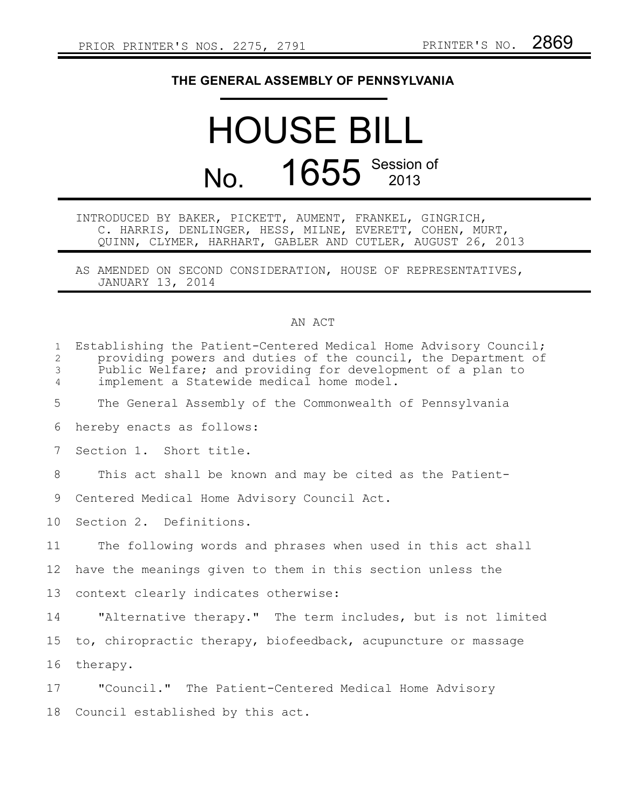## **THE GENERAL ASSEMBLY OF PENNSYLVANIA**

## HOUSE BILL No. 1655 Session of

INTRODUCED BY BAKER, PICKETT, AUMENT, FRANKEL, GINGRICH, C. HARRIS, DENLINGER, HESS, MILNE, EVERETT, COHEN, MURT, QUINN, CLYMER, HARHART, GABLER AND CUTLER, AUGUST 26, 2013

AS AMENDED ON SECOND CONSIDERATION, HOUSE OF REPRESENTATIVES, JANUARY 13, 2014

## AN ACT

| $\mathbf 1$<br>$\overline{2}$<br>3<br>$\overline{4}$ | Establishing the Patient-Centered Medical Home Advisory Council;<br>providing powers and duties of the council, the Department of<br>Public Welfare; and providing for development of a plan to<br>implement a Statewide medical home model. |
|------------------------------------------------------|----------------------------------------------------------------------------------------------------------------------------------------------------------------------------------------------------------------------------------------------|
| 5                                                    | The General Assembly of the Commonwealth of Pennsylvania                                                                                                                                                                                     |
| 6                                                    | hereby enacts as follows:                                                                                                                                                                                                                    |
| 7                                                    | Section 1. Short title.                                                                                                                                                                                                                      |
| 8                                                    | This act shall be known and may be cited as the Patient-                                                                                                                                                                                     |
| 9                                                    | Centered Medical Home Advisory Council Act.                                                                                                                                                                                                  |
| 10                                                   | Section 2. Definitions.                                                                                                                                                                                                                      |
| 11                                                   | The following words and phrases when used in this act shall                                                                                                                                                                                  |
| 12 <sup>°</sup>                                      | have the meanings given to them in this section unless the                                                                                                                                                                                   |
| 13                                                   | context clearly indicates otherwise:                                                                                                                                                                                                         |
| 14                                                   | "Alternative therapy." The term includes, but is not limited                                                                                                                                                                                 |
| 15                                                   | to, chiropractic therapy, biofeedback, acupuncture or massage                                                                                                                                                                                |
| 16                                                   | therapy.                                                                                                                                                                                                                                     |
| 17                                                   | "Council." The Patient-Centered Medical Home Advisory                                                                                                                                                                                        |
| 18                                                   | Council established by this act.                                                                                                                                                                                                             |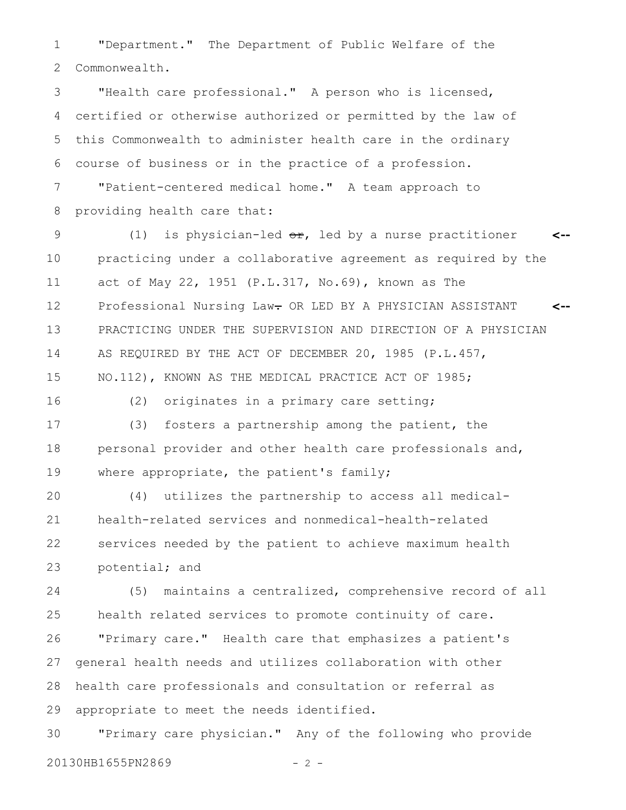"Department." The Department of Public Welfare of the Commonwealth. 1 2

"Health care professional." A person who is licensed, certified or otherwise authorized or permitted by the law of this Commonwealth to administer health care in the ordinary course of business or in the practice of a profession. "Patient-centered medical home." A team approach to 3 4 5 6 7

providing health care that: 8

(1) is physician-led  $er$ , led by a nurse practitioner practicing under a collaborative agreement as required by the act of May 22, 1951 (P.L.317, No.69), known as The Professional Nursing Law- OR LED BY A PHYSICIAN ASSISTANT PRACTICING UNDER THE SUPERVISION AND DIRECTION OF A PHYSICIAN AS REQUIRED BY THE ACT OF DECEMBER 20, 1985 (P.L.457, NO.112), KNOWN AS THE MEDICAL PRACTICE ACT OF 1985; **<-- <--** 9 10 11 12 13 14 15

16

(2) originates in a primary care setting;

(3) fosters a partnership among the patient, the personal provider and other health care professionals and, where appropriate, the patient's family; 17 18 19

(4) utilizes the partnership to access all medicalhealth-related services and nonmedical-health-related services needed by the patient to achieve maximum health potential; and 20 21 22 23

(5) maintains a centralized, comprehensive record of all health related services to promote continuity of care. "Primary care." Health care that emphasizes a patient's general health needs and utilizes collaboration with other health care professionals and consultation or referral as appropriate to meet the needs identified. 24 25 26 27 28 29

"Primary care physician." Any of the following who provide 20130HB1655PN2869 - 2 -30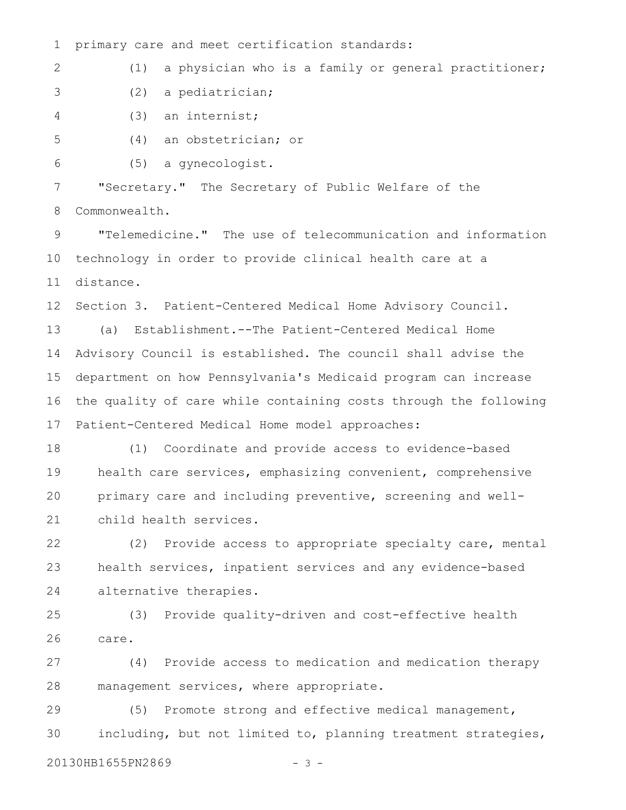primary care and meet certification standards: 1

(1) a physician who is a family or general practitioner; 2

(2) a pediatrician; 3

(3) an internist; 4

(4) an obstetrician; or 5

(5) a gynecologist. 6

"Secretary." The Secretary of Public Welfare of the Commonwealth. 7 8

"Telemedicine." The use of telecommunication and information technology in order to provide clinical health care at a distance. 9 10 11

Section 3. Patient-Centered Medical Home Advisory Council. 12

(a) Establishment.--The Patient-Centered Medical Home Advisory Council is established. The council shall advise the department on how Pennsylvania's Medicaid program can increase the quality of care while containing costs through the following Patient-Centered Medical Home model approaches: 13 14 15 16 17

(1) Coordinate and provide access to evidence-based health care services, emphasizing convenient, comprehensive primary care and including preventive, screening and wellchild health services. 18 19 20 21

(2) Provide access to appropriate specialty care, mental health services, inpatient services and any evidence-based alternative therapies. 22 23 24

(3) Provide quality-driven and cost-effective health care. 25 26

(4) Provide access to medication and medication therapy management services, where appropriate. 27 28

(5) Promote strong and effective medical management, including, but not limited to, planning treatment strategies, 29 30

20130HB1655PN2869 - 3 -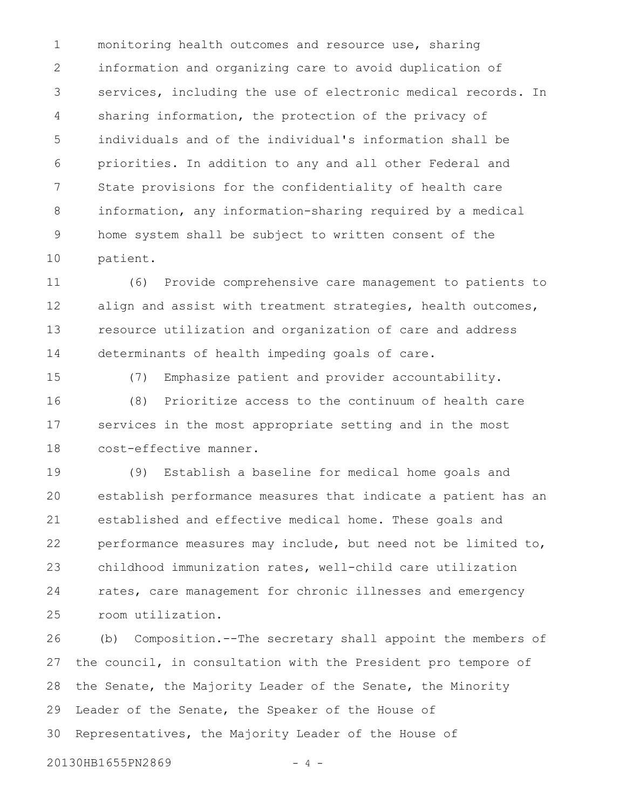monitoring health outcomes and resource use, sharing information and organizing care to avoid duplication of services, including the use of electronic medical records. In sharing information, the protection of the privacy of individuals and of the individual's information shall be priorities. In addition to any and all other Federal and State provisions for the confidentiality of health care information, any information-sharing required by a medical home system shall be subject to written consent of the patient. 1 2 3 4 5 6 7 8 9 10

(6) Provide comprehensive care management to patients to align and assist with treatment strategies, health outcomes, resource utilization and organization of care and address determinants of health impeding goals of care. 11 12 13 14

15

(7) Emphasize patient and provider accountability.

(8) Prioritize access to the continuum of health care services in the most appropriate setting and in the most cost-effective manner. 16 17 18

(9) Establish a baseline for medical home goals and establish performance measures that indicate a patient has an established and effective medical home. These goals and performance measures may include, but need not be limited to, childhood immunization rates, well-child care utilization rates, care management for chronic illnesses and emergency room utilization. 19 20 21 22 23 24 25

(b) Composition.--The secretary shall appoint the members of the council, in consultation with the President pro tempore of the Senate, the Majority Leader of the Senate, the Minority Leader of the Senate, the Speaker of the House of Representatives, the Majority Leader of the House of 26 27 28 29 30

20130HB1655PN2869 - 4 -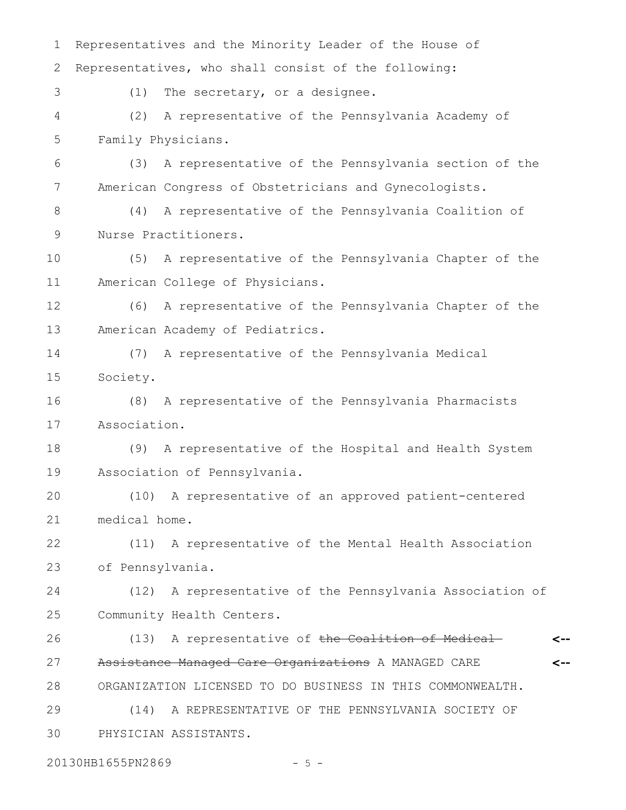Representatives and the Minority Leader of the House of Representatives, who shall consist of the following: (1) The secretary, or a designee. (2) A representative of the Pennsylvania Academy of Family Physicians. (3) A representative of the Pennsylvania section of the American Congress of Obstetricians and Gynecologists. (4) A representative of the Pennsylvania Coalition of Nurse Practitioners. (5) A representative of the Pennsylvania Chapter of the American College of Physicians. (6) A representative of the Pennsylvania Chapter of the American Academy of Pediatrics. (7) A representative of the Pennsylvania Medical Society. (8) A representative of the Pennsylvania Pharmacists Association. (9) A representative of the Hospital and Health System Association of Pennsylvania. (10) A representative of an approved patient-centered medical home. (11) A representative of the Mental Health Association of Pennsylvania. (12) A representative of the Pennsylvania Association of Community Health Centers. (13) A representative of the Coalition of Medical-Assistance Managed Care Organizations A MANAGED CARE ORGANIZATION LICENSED TO DO BUSINESS IN THIS COMMONWEALTH. (14) A REPRESENTATIVE OF THE PENNSYLVANIA SOCIETY OF PHYSICIAN ASSISTANTS. **<-- <--** 1 2 3 4 5 6 7 8 9 10 11 12 13 14 15 16 17 18 19 20 21 22 23 24 25 26 27 28 29 30

20130HB1655PN2869 - 5 -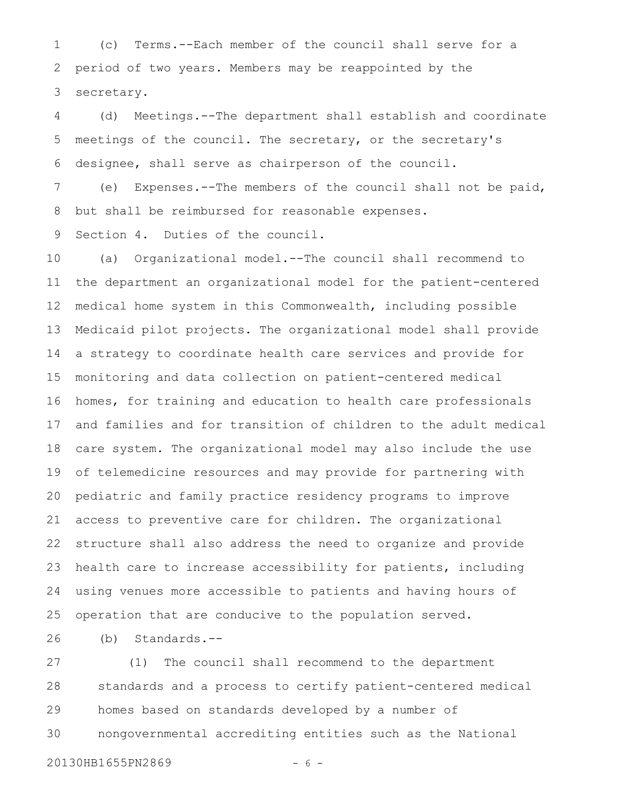(c) Terms.--Each member of the council shall serve for a period of two years. Members may be reappointed by the secretary. 1 2 3

(d) Meetings.--The department shall establish and coordinate meetings of the council. The secretary, or the secretary's designee, shall serve as chairperson of the council. 4 5 6

(e) Expenses.--The members of the council shall not be paid, but shall be reimbursed for reasonable expenses. 7 8

Section 4. Duties of the council. 9

(a) Organizational model.--The council shall recommend to the department an organizational model for the patient-centered medical home system in this Commonwealth, including possible Medicaid pilot projects. The organizational model shall provide a strategy to coordinate health care services and provide for monitoring and data collection on patient-centered medical homes, for training and education to health care professionals and families and for transition of children to the adult medical care system. The organizational model may also include the use of telemedicine resources and may provide for partnering with pediatric and family practice residency programs to improve access to preventive care for children. The organizational structure shall also address the need to organize and provide health care to increase accessibility for patients, including using venues more accessible to patients and having hours of operation that are conducive to the population served. 10 11 12 13 14 15 16 17 18 19 20 21 22 23 24 25

(b) Standards.-- 26

(1) The council shall recommend to the department standards and a process to certify patient-centered medical homes based on standards developed by a number of nongovernmental accrediting entities such as the National 27 28 29 30

20130HB1655PN2869 - 6 -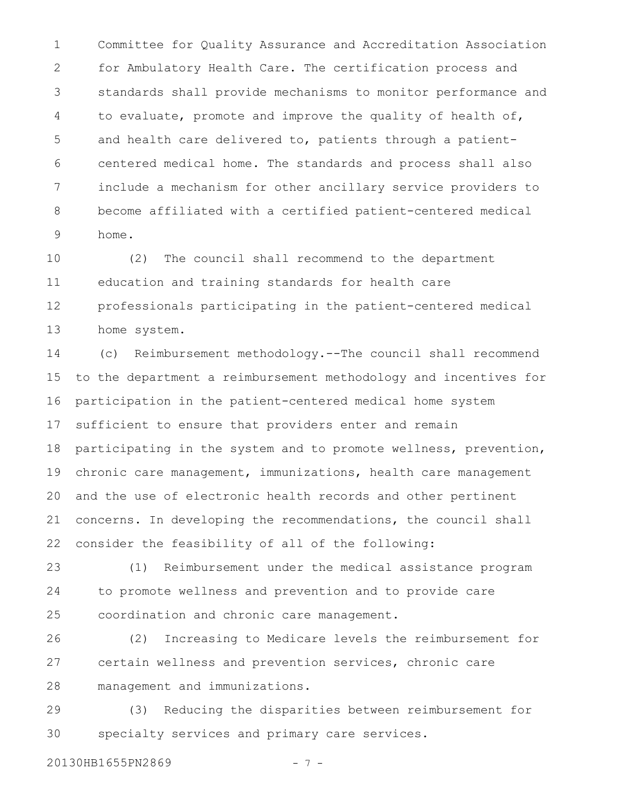Committee for Quality Assurance and Accreditation Association for Ambulatory Health Care. The certification process and standards shall provide mechanisms to monitor performance and to evaluate, promote and improve the quality of health of, and health care delivered to, patients through a patientcentered medical home. The standards and process shall also include a mechanism for other ancillary service providers to become affiliated with a certified patient-centered medical home. 1 2 3 4 5 6 7 8 9

(2) The council shall recommend to the department education and training standards for health care professionals participating in the patient-centered medical home system. 10 11 12 13

(c) Reimbursement methodology.--The council shall recommend to the department a reimbursement methodology and incentives for participation in the patient-centered medical home system sufficient to ensure that providers enter and remain participating in the system and to promote wellness, prevention, chronic care management, immunizations, health care management and the use of electronic health records and other pertinent concerns. In developing the recommendations, the council shall consider the feasibility of all of the following: 14 15 16 17 18 19 20 21 22

(1) Reimbursement under the medical assistance program to promote wellness and prevention and to provide care coordination and chronic care management. 23 24 25

(2) Increasing to Medicare levels the reimbursement for certain wellness and prevention services, chronic care management and immunizations. 26 27 28

(3) Reducing the disparities between reimbursement for specialty services and primary care services. 29 30

20130HB1655PN2869 - 7 -